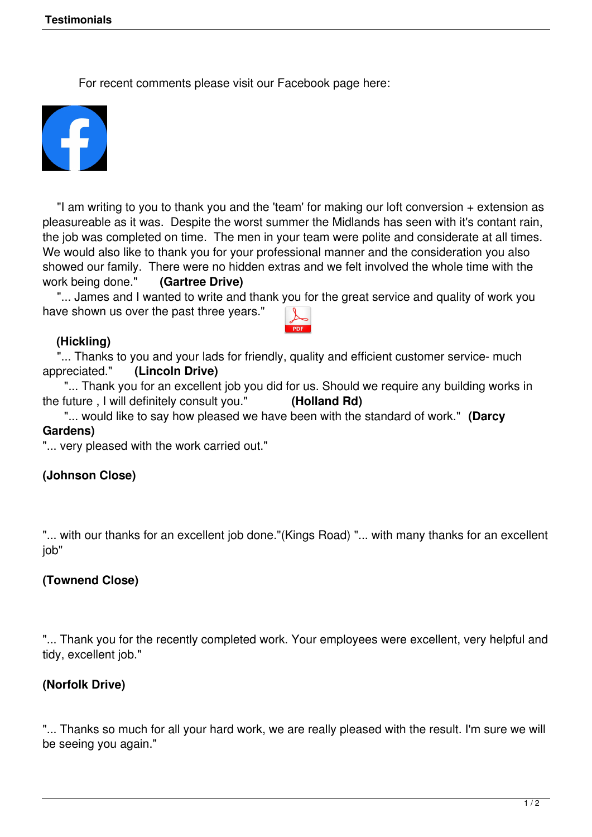For recent comments please visit our Facebook page here:



 "I am writing to you to thank you and the 'team' for making our loft conversion + extension as pleasureable as it was. Despite the worst summer the Midlands has seen with it's contant rain, the job was completed on time. The men in your team were polite and considerate at all times. We would also like to thank you for your professional manner and the consideration you also showed our family. There were no hidden extras and we felt involved the whole time with the work being done." **(Gartree Drive)**

 "... James and I wanted to write and thank you for the great service and quality of work you have shown us over the past three years."

#### **(Hickling)**

 "... Thanks to you and your lads for friendly, quality and efficient customer service- much appreciated." **(Lincoln Drive)**

 "... Thank you for an excellent job you did for us. Should we require any building works in the future , I will definitely consult you." **(Holland Rd)**

 "... would like to say how pleased we have been with the standard of work." **(Darcy Gardens)**

"... very pleased with the work carried out."

### **(Johnson Close)**

"... with our thanks for an excellent job done."(Kings Road) "... with many thanks for an excellent job"

#### **(Townend Close)**

"... Thank you for the recently completed work. Your employees were excellent, very helpful and tidy, excellent job."

### **(Norfolk Drive)**

"... Thanks so much for all your hard work, we are really pleased with the result. I'm sure we will be seeing you again."